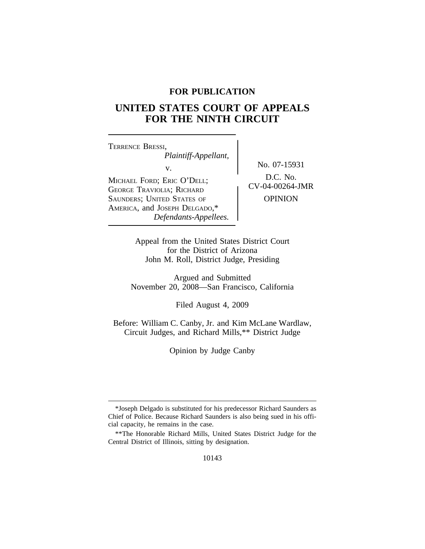# **FOR PUBLICATION**

# **UNITED STATES COURT OF APPEALS FOR THE NINTH CIRCUIT**

<sup>T</sup>ERRENCE BRESSI, *Plaintiff-Appellant,* v.  $\begin{matrix} N_0 & 07-15931 \\ N_1 & 0.07-15931 \end{matrix}$ MICHAEL FORD; ERIC O'DELL;<br>GEORGE TRAVIOLIA; RICHARD CV-04-00264-JMR SAUNDERS; UNITED STATES OF **OPINION** AMERICA, and JOSEPH DELGADO,\* *Defendants-Appellees.*

Appeal from the United States District Court for the District of Arizona John M. Roll, District Judge, Presiding

Argued and Submitted November 20, 2008—San Francisco, California

Filed August 4, 2009

Before: William C. Canby, Jr. and Kim McLane Wardlaw, Circuit Judges, and Richard Mills,\*\* District Judge

Opinion by Judge Canby

<sup>\*</sup>Joseph Delgado is substituted for his predecessor Richard Saunders as Chief of Police. Because Richard Saunders is also being sued in his official capacity, he remains in the case.

<sup>\*\*</sup>The Honorable Richard Mills, United States District Judge for the Central District of Illinois, sitting by designation.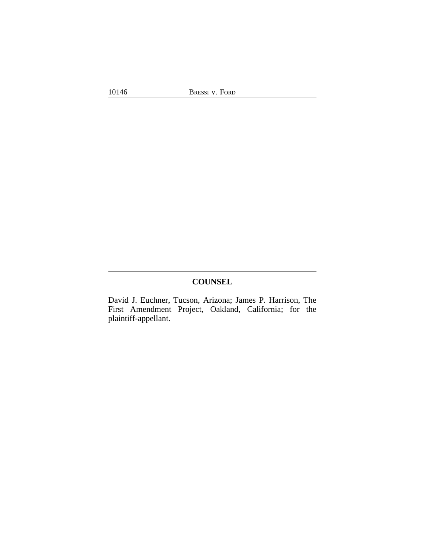# **COUNSEL**

David J. Euchner, Tucson, Arizona; James P. Harrison, The First Amendment Project, Oakland, California; for the plaintiff-appellant.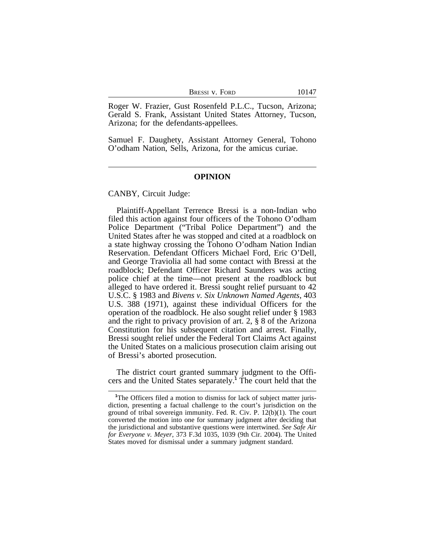| BRESSI V. FORD | 10147 |
|----------------|-------|
|----------------|-------|

Roger W. Frazier, Gust Rosenfeld P.L.C., Tucson, Arizona; Gerald S. Frank, Assistant United States Attorney, Tucson, Arizona; for the defendants-appellees.

Samuel F. Daughety, Assistant Attorney General, Tohono O'odham Nation, Sells, Arizona, for the amicus curiae.

#### **OPINION**

CANBY, Circuit Judge:

Plaintiff-Appellant Terrence Bressi is a non-Indian who filed this action against four officers of the Tohono O'odham Police Department ("Tribal Police Department") and the United States after he was stopped and cited at a roadblock on a state highway crossing the Tohono O'odham Nation Indian Reservation. Defendant Officers Michael Ford, Eric O'Dell, and George Traviolia all had some contact with Bressi at the roadblock; Defendant Officer Richard Saunders was acting police chief at the time—not present at the roadblock but alleged to have ordered it. Bressi sought relief pursuant to 42 U.S.C. § 1983 and *Bivens v. Six Unknown Named Agents*, 403 U.S. 388 (1971), against these individual Officers for the operation of the roadblock. He also sought relief under § 1983 and the right to privacy provision of art. 2, § 8 of the Arizona Constitution for his subsequent citation and arrest. Finally, Bressi sought relief under the Federal Tort Claims Act against the United States on a malicious prosecution claim arising out of Bressi's aborted prosecution.

The district court granted summary judgment to the Officers and the United States separately.**<sup>1</sup>** The court held that the

<sup>&</sup>lt;sup>1</sup>The Officers filed a motion to dismiss for lack of subject matter jurisdiction, presenting a factual challenge to the court's jurisdiction on the ground of tribal sovereign immunity. Fed. R. Civ. P. 12(b)(1). The court converted the motion into one for summary judgment after deciding that the jurisdictional and substantive questions were intertwined. *See Safe Air for Everyone v. Meyer*, 373 F.3d 1035, 1039 (9th Cir. 2004). The United States moved for dismissal under a summary judgment standard.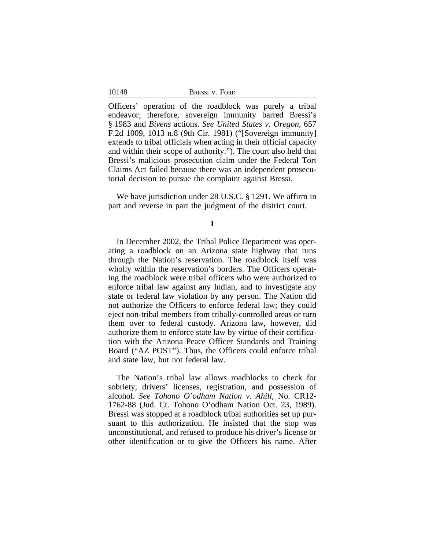| BRESSI V. FORD |  |
|----------------|--|
|----------------|--|

10148

Officers' operation of the roadblock was purely a tribal endeavor; therefore, sovereign immunity barred Bressi's § 1983 and *Bivens* actions. *See United States v. Oregon*, 657 F.2d 1009, 1013 n.8 (9th Cir. 1981) ("[Sovereign immunity] extends to tribal officials when acting in their official capacity and within their scope of authority."). The court also held that Bressi's malicious prosecution claim under the Federal Tort Claims Act failed because there was an independent prosecutorial decision to pursue the complaint against Bressi.

We have jurisdiction under 28 U.S.C. § 1291. We affirm in part and reverse in part the judgment of the district court.

**I**

In December 2002, the Tribal Police Department was operating a roadblock on an Arizona state highway that runs through the Nation's reservation. The roadblock itself was wholly within the reservation's borders. The Officers operating the roadblock were tribal officers who were authorized to enforce tribal law against any Indian, and to investigate any state or federal law violation by any person. The Nation did not authorize the Officers to enforce federal law; they could eject non-tribal members from tribally-controlled areas or turn them over to federal custody. Arizona law, however, did authorize them to enforce state law by virtue of their certification with the Arizona Peace Officer Standards and Training Board ("AZ POST"). Thus, the Officers could enforce tribal and state law, but not federal law.

The Nation's tribal law allows roadblocks to check for sobriety, drivers' licenses, registration, and possession of alcohol. *See Tohono O'odham Nation v. Ahill*, No. CR12- 1762-88 (Jud. Ct. Tohono O'odham Nation Oct. 23, 1989). Bressi was stopped at a roadblock tribal authorities set up pursuant to this authorization. He insisted that the stop was unconstitutional, and refused to produce his driver's license or other identification or to give the Officers his name. After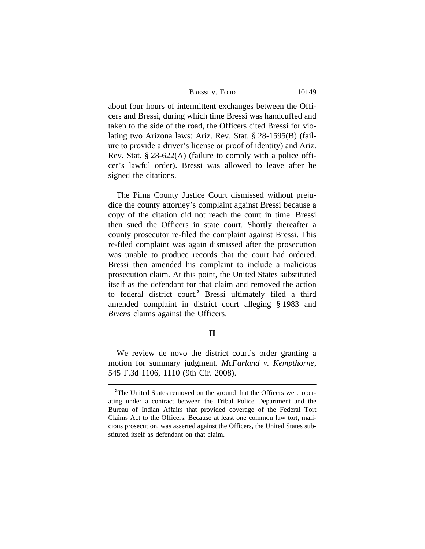| BRESSI V. FORD | 10149 |
|----------------|-------|
|----------------|-------|

about four hours of intermittent exchanges between the Officers and Bressi, during which time Bressi was handcuffed and taken to the side of the road, the Officers cited Bressi for violating two Arizona laws: Ariz. Rev. Stat. § 28-1595(B) (failure to provide a driver's license or proof of identity) and Ariz. Rev. Stat. § 28-622(A) (failure to comply with a police officer's lawful order). Bressi was allowed to leave after he signed the citations.

The Pima County Justice Court dismissed without prejudice the county attorney's complaint against Bressi because a copy of the citation did not reach the court in time. Bressi then sued the Officers in state court. Shortly thereafter a county prosecutor re-filed the complaint against Bressi. This re-filed complaint was again dismissed after the prosecution was unable to produce records that the court had ordered. Bressi then amended his complaint to include a malicious prosecution claim. At this point, the United States substituted itself as the defendant for that claim and removed the action to federal district court.**<sup>2</sup>** Bressi ultimately filed a third amended complaint in district court alleging § 1983 and *Bivens* claims against the Officers.

### **II**

We review de novo the district court's order granting a motion for summary judgment. *McFarland v. Kempthorne*, 545 F.3d 1106, 1110 (9th Cir. 2008).

<sup>&</sup>lt;sup>2</sup>The United States removed on the ground that the Officers were operating under a contract between the Tribal Police Department and the Bureau of Indian Affairs that provided coverage of the Federal Tort Claims Act to the Officers. Because at least one common law tort, malicious prosecution, was asserted against the Officers, the United States substituted itself as defendant on that claim.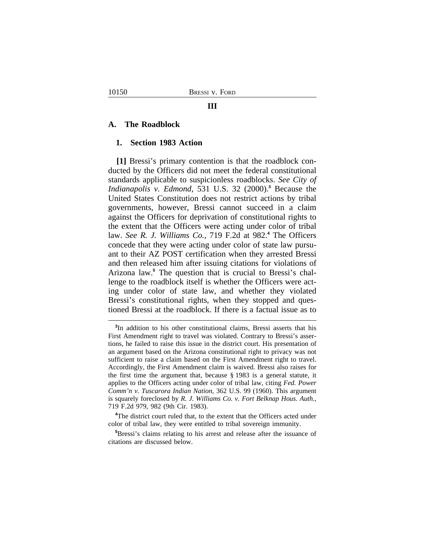#### **A. The Roadblock**

#### **1. Section 1983 Action**

**[1]** Bressi's primary contention is that the roadblock conducted by the Officers did not meet the federal constitutional standards applicable to suspicionless roadblocks. *See City of Indianapolis v. Edmond*, 531 U.S. 32 (2000).**<sup>3</sup>** Because the United States Constitution does not restrict actions by tribal governments, however, Bressi cannot succeed in a claim against the Officers for deprivation of constitutional rights to the extent that the Officers were acting under color of tribal law. *See R. J. Williams Co.*, 719 F.2d at 982.**<sup>4</sup>** The Officers concede that they were acting under color of state law pursuant to their AZ POST certification when they arrested Bressi and then released him after issuing citations for violations of Arizona law.**<sup>5</sup>** The question that is crucial to Bressi's challenge to the roadblock itself is whether the Officers were acting under color of state law, and whether they violated Bressi's constitutional rights, when they stopped and questioned Bressi at the roadblock. If there is a factual issue as to

**<sup>3</sup>** In addition to his other constitutional claims, Bressi asserts that his First Amendment right to travel was violated. Contrary to Bressi's assertions, he failed to raise this issue in the district court. His presentation of an argument based on the Arizona constitutional right to privacy was not sufficient to raise a claim based on the First Amendment right to travel. Accordingly, the First Amendment claim is waived. Bressi also raises for the first time the argument that, because § 1983 is a general statute, it applies to the Officers acting under color of tribal law, citing *Fed. Power Comm'n v. Tuscarora Indian Nation*, 362 U.S. 99 (1960). This argument is squarely foreclosed by *R. J. Williams Co. v. Fort Belknap Hous. Auth.*, 719 F.2d 979, 982 (9th Cir. 1983).

<sup>&</sup>lt;sup>4</sup>The district court ruled that, to the extent that the Officers acted under color of tribal law, they were entitled to tribal sovereign immunity.

**<sup>5</sup>**Bressi's claims relating to his arrest and release after the issuance of citations are discussed below.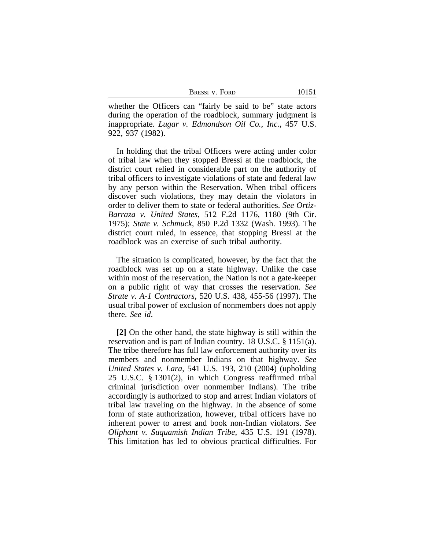| Bressi v. Ford | 10151 |
|----------------|-------|
|                |       |

whether the Officers can "fairly be said to be" state actors during the operation of the roadblock, summary judgment is inappropriate. *Lugar v. Edmondson Oil Co., Inc.*, 457 U.S. 922, 937 (1982).

In holding that the tribal Officers were acting under color of tribal law when they stopped Bressi at the roadblock, the district court relied in considerable part on the authority of tribal officers to investigate violations of state and federal law by any person within the Reservation. When tribal officers discover such violations, they may detain the violators in order to deliver them to state or federal authorities. *See Ortiz-Barraza v. United States*, 512 F.2d 1176, 1180 (9th Cir. 1975); *State v. Schmuck*, 850 P.2d 1332 (Wash. 1993). The district court ruled, in essence, that stopping Bressi at the roadblock was an exercise of such tribal authority.

The situation is complicated, however, by the fact that the roadblock was set up on a state highway. Unlike the case within most of the reservation, the Nation is not a gate-keeper on a public right of way that crosses the reservation. *See Strate v. A-1 Contractors*, 520 U.S. 438, 455-56 (1997). The usual tribal power of exclusion of nonmembers does not apply there. *See id*.

**[2]** On the other hand, the state highway is still within the reservation and is part of Indian country. 18 U.S.C. § 1151(a). The tribe therefore has full law enforcement authority over its members and nonmember Indians on that highway. *See United States v. Lara*, 541 U.S. 193, 210 (2004) (upholding 25 U.S.C. § 1301(2), in which Congress reaffirmed tribal criminal jurisdiction over nonmember Indians). The tribe accordingly is authorized to stop and arrest Indian violators of tribal law traveling on the highway. In the absence of some form of state authorization, however, tribal officers have no inherent power to arrest and book non-Indian violators. *See Oliphant v. Suquamish Indian Tribe*, 435 U.S. 191 (1978). This limitation has led to obvious practical difficulties. For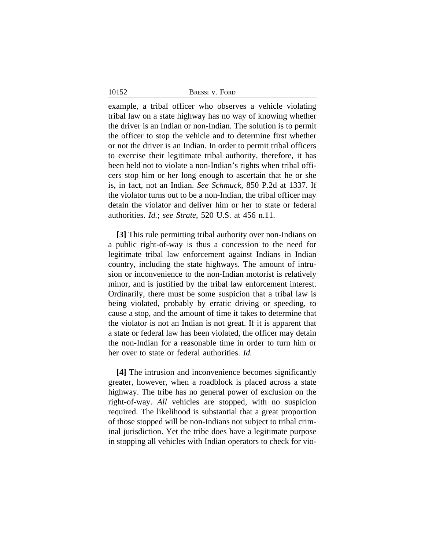10152

example, a tribal officer who observes a vehicle violating tribal law on a state highway has no way of knowing whether the driver is an Indian or non-Indian. The solution is to permit the officer to stop the vehicle and to determine first whether or not the driver is an Indian. In order to permit tribal officers to exercise their legitimate tribal authority, therefore, it has been held not to violate a non-Indian's rights when tribal officers stop him or her long enough to ascertain that he or she is, in fact, not an Indian. *See Schmuck*, 850 P.2d at 1337. If the violator turns out to be a non-Indian, the tribal officer may detain the violator and deliver him or her to state or federal authorities. *Id.*; *see Strate*, 520 U.S. at 456 n.11.

**[3]** This rule permitting tribal authority over non-Indians on a public right-of-way is thus a concession to the need for legitimate tribal law enforcement against Indians in Indian country, including the state highways. The amount of intrusion or inconvenience to the non-Indian motorist is relatively minor, and is justified by the tribal law enforcement interest. Ordinarily, there must be some suspicion that a tribal law is being violated, probably by erratic driving or speeding, to cause a stop, and the amount of time it takes to determine that the violator is not an Indian is not great. If it is apparent that a state or federal law has been violated, the officer may detain the non-Indian for a reasonable time in order to turn him or her over to state or federal authorities. *Id.*

**[4]** The intrusion and inconvenience becomes significantly greater, however, when a roadblock is placed across a state highway. The tribe has no general power of exclusion on the right-of-way. *All* vehicles are stopped, with no suspicion required. The likelihood is substantial that a great proportion of those stopped will be non-Indians not subject to tribal criminal jurisdiction. Yet the tribe does have a legitimate purpose in stopping all vehicles with Indian operators to check for vio-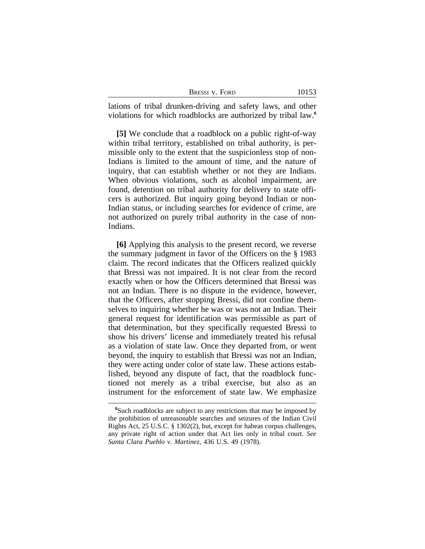| BRESSI V. FORD |  |
|----------------|--|
|                |  |

lations of tribal drunken-driving and safety laws, and other violations for which roadblocks are authorized by tribal law.**<sup>6</sup>**

**[5]** We conclude that a roadblock on a public right-of-way within tribal territory, established on tribal authority, is permissible only to the extent that the suspicionless stop of non-Indians is limited to the amount of time, and the nature of inquiry, that can establish whether or not they are Indians. When obvious violations, such as alcohol impairment, are found, detention on tribal authority for delivery to state officers is authorized. But inquiry going beyond Indian or non-Indian status, or including searches for evidence of crime, are not authorized on purely tribal authority in the case of non-Indians.

**[6]** Applying this analysis to the present record, we reverse the summary judgment in favor of the Officers on the § 1983 claim. The record indicates that the Officers realized quickly that Bressi was not impaired. It is not clear from the record exactly when or how the Officers determined that Bressi was not an Indian. There is no dispute in the evidence, however, that the Officers, after stopping Bressi, did not confine themselves to inquiring whether he was or was not an Indian. Their general request for identification was permissible as part of that determination, but they specifically requested Bressi to show his drivers' license and immediately treated his refusal as a violation of state law. Once they departed from, or went beyond, the inquiry to establish that Bressi was not an Indian, they were acting under color of state law. These actions established, beyond any dispute of fact, that the roadblock functioned not merely as a tribal exercise, but also as an instrument for the enforcement of state law. We emphasize

**<sup>6</sup>**Such roadblocks are subject to any restrictions that may be imposed by the prohibition of unreasonable searches and seizures of the Indian Civil Rights Act, 25 U.S.C. § 1302(2), but, except for habeas corpus challenges, any private right of action under that Act lies only in tribal court. *See Santa Clara Pueblo v. Martinez*, 436 U.S. 49 (1978).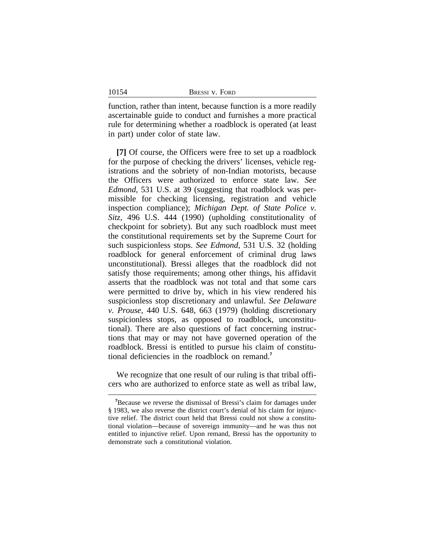function, rather than intent, because function is a more readily ascertainable guide to conduct and furnishes a more practical rule for determining whether a roadblock is operated (at least in part) under color of state law.

**[7]** Of course, the Officers were free to set up a roadblock for the purpose of checking the drivers' licenses, vehicle registrations and the sobriety of non-Indian motorists, because the Officers were authorized to enforce state law. *See Edmond*, 531 U.S. at 39 (suggesting that roadblock was permissible for checking licensing, registration and vehicle inspection compliance); *Michigan Dept. of State Police v. Sitz*, 496 U.S. 444 (1990) (upholding constitutionality of checkpoint for sobriety). But any such roadblock must meet the constitutional requirements set by the Supreme Court for such suspicionless stops. *See Edmond*, 531 U.S. 32 (holding roadblock for general enforcement of criminal drug laws unconstitutional). Bressi alleges that the roadblock did not satisfy those requirements; among other things, his affidavit asserts that the roadblock was not total and that some cars were permitted to drive by, which in his view rendered his suspicionless stop discretionary and unlawful. *See Delaware v. Prouse*, 440 U.S. 648, 663 (1979) (holding discretionary suspicionless stops, as opposed to roadblock, unconstitutional). There are also questions of fact concerning instructions that may or may not have governed operation of the roadblock. Bressi is entitled to pursue his claim of constitutional deficiencies in the roadblock on remand.**<sup>7</sup>**

We recognize that one result of our ruling is that tribal officers who are authorized to enforce state as well as tribal law,

10154

**<sup>7</sup>**Because we reverse the dismissal of Bressi's claim for damages under § 1983, we also reverse the district court's denial of his claim for injunctive relief. The district court held that Bressi could not show a constitutional violation—because of sovereign immunity—and he was thus not entitled to injunctive relief. Upon remand, Bressi has the opportunity to demonstrate such a constitutional violation.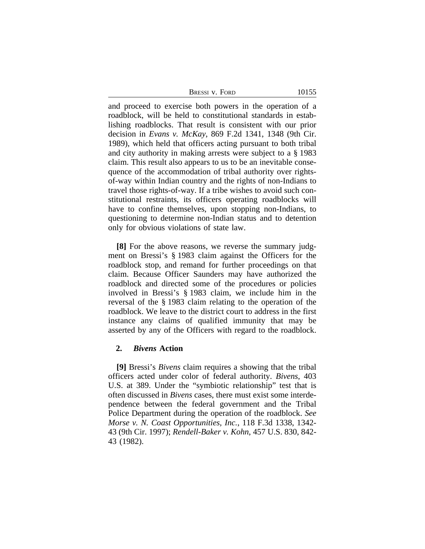| BRESSI V. FORD | 10155 |
|----------------|-------|
|----------------|-------|

and proceed to exercise both powers in the operation of a roadblock, will be held to constitutional standards in establishing roadblocks. That result is consistent with our prior decision in *Evans v. McKay*, 869 F.2d 1341, 1348 (9th Cir. 1989), which held that officers acting pursuant to both tribal and city authority in making arrests were subject to a § 1983 claim. This result also appears to us to be an inevitable consequence of the accommodation of tribal authority over rightsof-way within Indian country and the rights of non-Indians to travel those rights-of-way. If a tribe wishes to avoid such constitutional restraints, its officers operating roadblocks will have to confine themselves, upon stopping non-Indians, to questioning to determine non-Indian status and to detention only for obvious violations of state law.

**[8]** For the above reasons, we reverse the summary judgment on Bressi's § 1983 claim against the Officers for the roadblock stop, and remand for further proceedings on that claim. Because Officer Saunders may have authorized the roadblock and directed some of the procedures or policies involved in Bressi's § 1983 claim, we include him in the reversal of the § 1983 claim relating to the operation of the roadblock. We leave to the district court to address in the first instance any claims of qualified immunity that may be asserted by any of the Officers with regard to the roadblock.

#### **2.** *Bivens* **Action**

**[9]** Bressi's *Bivens* claim requires a showing that the tribal officers acted under color of federal authority. *Bivens*, 403 U.S. at 389. Under the "symbiotic relationship" test that is often discussed in *Bivens* cases, there must exist some interdependence between the federal government and the Tribal Police Department during the operation of the roadblock. *See Morse v. N. Coast Opportunities, Inc.*, 118 F.3d 1338, 1342- 43 (9th Cir. 1997); *Rendell-Baker v. Kohn*, 457 U.S. 830, 842- 43 (1982).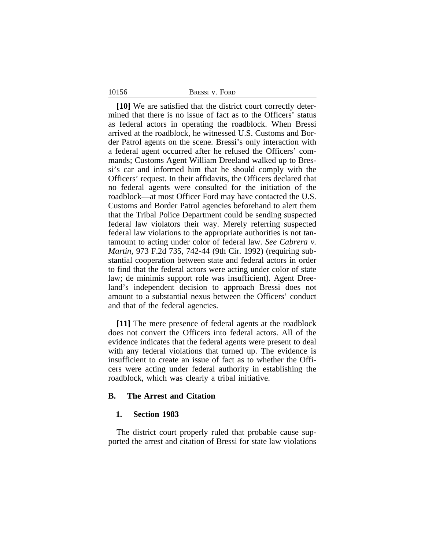| BRESSI V. FORD |
|----------------|
|----------------|

10156

**[10]** We are satisfied that the district court correctly determined that there is no issue of fact as to the Officers' status as federal actors in operating the roadblock. When Bressi arrived at the roadblock, he witnessed U.S. Customs and Border Patrol agents on the scene. Bressi's only interaction with a federal agent occurred after he refused the Officers' commands; Customs Agent William Dreeland walked up to Bressi's car and informed him that he should comply with the Officers' request. In their affidavits, the Officers declared that no federal agents were consulted for the initiation of the roadblock—at most Officer Ford may have contacted the U.S. Customs and Border Patrol agencies beforehand to alert them that the Tribal Police Department could be sending suspected federal law violators their way. Merely referring suspected federal law violations to the appropriate authorities is not tantamount to acting under color of federal law. *See Cabrera v. Martin*, 973 F.2d 735, 742-44 (9th Cir. 1992) (requiring substantial cooperation between state and federal actors in order to find that the federal actors were acting under color of state law; de minimis support role was insufficient). Agent Dreeland's independent decision to approach Bressi does not amount to a substantial nexus between the Officers' conduct and that of the federal agencies.

**[11]** The mere presence of federal agents at the roadblock does not convert the Officers into federal actors. All of the evidence indicates that the federal agents were present to deal with any federal violations that turned up. The evidence is insufficient to create an issue of fact as to whether the Officers were acting under federal authority in establishing the roadblock, which was clearly a tribal initiative.

### **B. The Arrest and Citation**

#### **1. Section 1983**

The district court properly ruled that probable cause supported the arrest and citation of Bressi for state law violations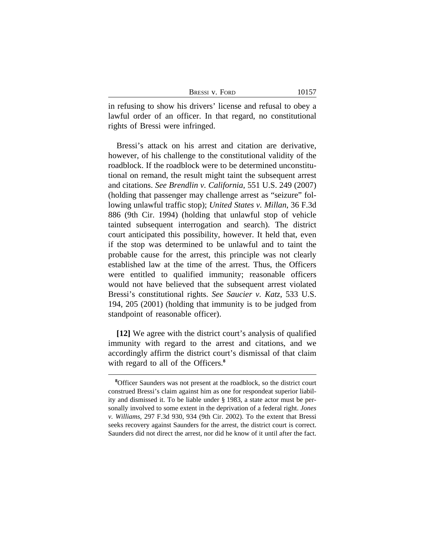| BRESSI V. FORD | 10157 |
|----------------|-------|
|----------------|-------|

in refusing to show his drivers' license and refusal to obey a lawful order of an officer. In that regard, no constitutional rights of Bressi were infringed.

Bressi's attack on his arrest and citation are derivative, however, of his challenge to the constitutional validity of the roadblock. If the roadblock were to be determined unconstitutional on remand, the result might taint the subsequent arrest and citations. *See Brendlin v. California*, 551 U.S. 249 (2007) (holding that passenger may challenge arrest as "seizure" following unlawful traffic stop); *United States v. Millan*, 36 F.3d 886 (9th Cir. 1994) (holding that unlawful stop of vehicle tainted subsequent interrogation and search). The district court anticipated this possibility, however. It held that, even if the stop was determined to be unlawful and to taint the probable cause for the arrest, this principle was not clearly established law at the time of the arrest. Thus, the Officers were entitled to qualified immunity; reasonable officers would not have believed that the subsequent arrest violated Bressi's constitutional rights. *See Saucier v. Katz*, 533 U.S. 194, 205 (2001) (holding that immunity is to be judged from standpoint of reasonable officer).

**[12]** We agree with the district court's analysis of qualified immunity with regard to the arrest and citations, and we accordingly affirm the district court's dismissal of that claim with regard to all of the Officers.<sup>8</sup>

**<sup>8</sup>**Officer Saunders was not present at the roadblock, so the district court construed Bressi's claim against him as one for respondeat superior liability and dismissed it. To be liable under § 1983, a state actor must be personally involved to some extent in the deprivation of a federal right. *Jones v. Williams*, 297 F.3d 930, 934 (9th Cir. 2002). To the extent that Bressi seeks recovery against Saunders for the arrest, the district court is correct. Saunders did not direct the arrest, nor did he know of it until after the fact.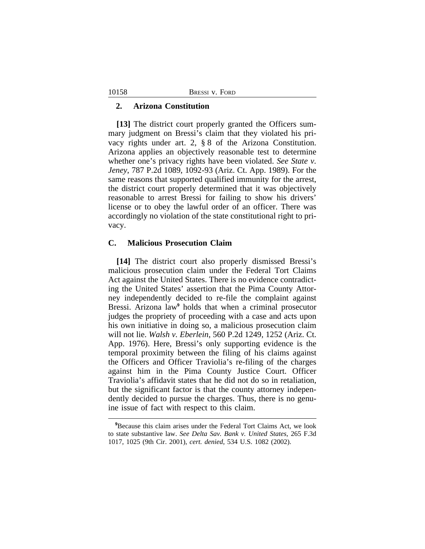|  | <b>BRESSI V. FORD</b> |  |  |
|--|-----------------------|--|--|
|--|-----------------------|--|--|

#### **2. Arizona Constitution**

**[13]** The district court properly granted the Officers summary judgment on Bressi's claim that they violated his privacy rights under art. 2, § 8 of the Arizona Constitution. Arizona applies an objectively reasonable test to determine whether one's privacy rights have been violated. *See State v. Jeney*, 787 P.2d 1089, 1092-93 (Ariz. Ct. App. 1989). For the same reasons that supported qualified immunity for the arrest, the district court properly determined that it was objectively reasonable to arrest Bressi for failing to show his drivers' license or to obey the lawful order of an officer. There was accordingly no violation of the state constitutional right to privacy.

#### **C. Malicious Prosecution Claim**

**[14]** The district court also properly dismissed Bressi's malicious prosecution claim under the Federal Tort Claims Act against the United States. There is no evidence contradicting the United States' assertion that the Pima County Attorney independently decided to re-file the complaint against Bressi. Arizona law**<sup>9</sup>** holds that when a criminal prosecutor judges the propriety of proceeding with a case and acts upon his own initiative in doing so, a malicious prosecution claim will not lie. *Walsh v. Eberlein*, 560 P.2d 1249, 1252 (Ariz. Ct. App. 1976). Here, Bressi's only supporting evidence is the temporal proximity between the filing of his claims against the Officers and Officer Traviolia's re-filing of the charges against him in the Pima County Justice Court. Officer Traviolia's affidavit states that he did not do so in retaliation, but the significant factor is that the county attorney independently decided to pursue the charges. Thus, there is no genuine issue of fact with respect to this claim.

10158

**<sup>9</sup>**Because this claim arises under the Federal Tort Claims Act, we look to state substantive law. *See Delta Sav. Bank v. United States*, 265 F.3d 1017, 1025 (9th Cir. 2001), *cert. denied*, 534 U.S. 1082 (2002).